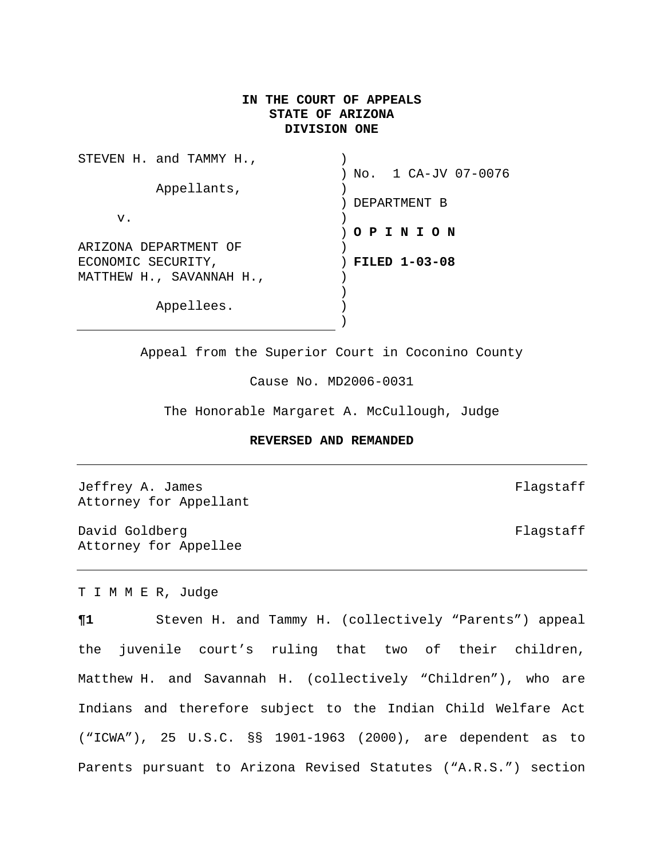## **IN THE COURT OF APPEALS STATE OF ARIZONA DIVISION ONE**

| STEVEN H. and TAMMY H.,  |                       |
|--------------------------|-----------------------|
|                          | ) No. 1 CA-JV 07-0076 |
| Appellants,              |                       |
|                          | DEPARTMENT B          |
| v.                       |                       |
|                          | ) O P I N I O N       |
| ARIZONA DEPARTMENT OF    |                       |
| ECONOMIC SECURITY,       | <b>FILED 1-03-08</b>  |
| MATTHEW H., SAVANNAH H., |                       |
|                          |                       |
| Appellees.               |                       |
|                          |                       |

Appeal from the Superior Court in Coconino County

Cause No. MD2006-0031

The Honorable Margaret A. McCullough, Judge

### **REVERSED AND REMANDED**

Jeffrey A. James **Flagstaff** Attorney for Appellant

David Goldberg **Flagstaff** Attorney for Appellee

T I M M E R, Judge

**¶1** Steven H. and Tammy H. (collectively "Parents") appeal the juvenile court's ruling that two of their children, Matthew H. and Savannah H. (collectively "Children"), who are Indians and therefore subject to the Indian Child Welfare Act ("ICWA"), 25 U.S.C. §§ 1901-1963 (2000), are dependent as to Parents pursuant to Arizona Revised Statutes ("A.R.S.") section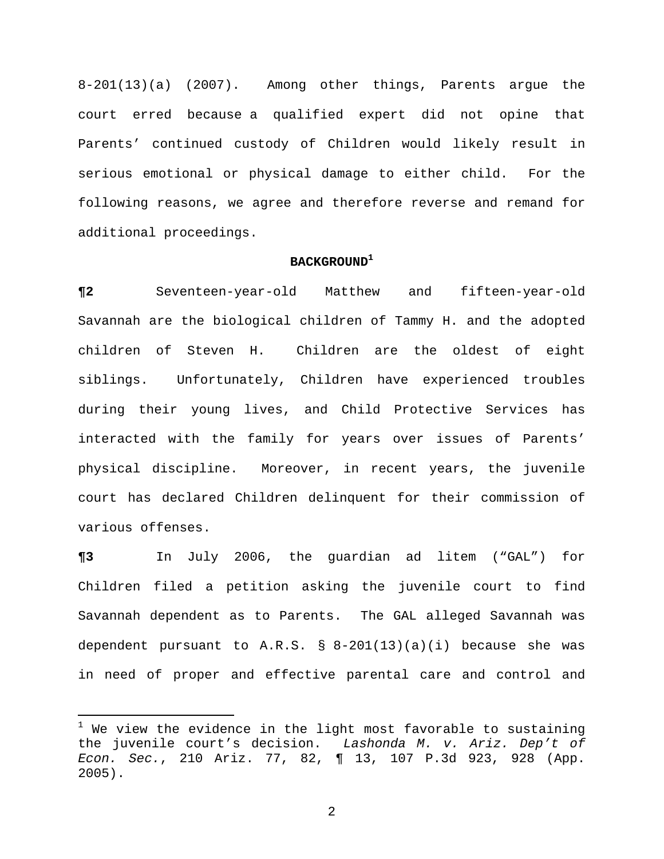8-201(13)(a) (2007). Among other things, Parents argue the court erred because a qualified expert did not opine that Parents' continued custody of Children would likely result in serious emotional or physical damage to either child. For the following reasons, we agree and therefore reverse and remand for additional proceedings.

# **BACKGROUND[1](#page-1-0)**

**¶2** Seventeen-year-old Matthew and fifteen-year-old Savannah are the biological children of Tammy H. and the adopted children of Steven H. Children are the oldest of eight siblings. Unfortunately, Children have experienced troubles during their young lives, and Child Protective Services has interacted with the family for years over issues of Parents' physical discipline. Moreover, in recent years, the juvenile court has declared Children delinquent for their commission of various offenses.

**¶3** In July 2006, the guardian ad litem ("GAL") for Children filed a petition asking the juvenile court to find Savannah dependent as to Parents. The GAL alleged Savannah was dependent pursuant to  $A.R.S. \$  §  $8-201(13)(a)(i)$  because she was in need of proper and effective parental care and control and

i

<span id="page-1-0"></span> $^1$  We view the evidence in the light most favorable to sustaining the juvenile court's decision. *Lashonda M. v. Ariz. Dep't of Econ. Sec.*, 210 Ariz. 77, 82, ¶ 13, 107 P.3d 923, 928 (App. 2005).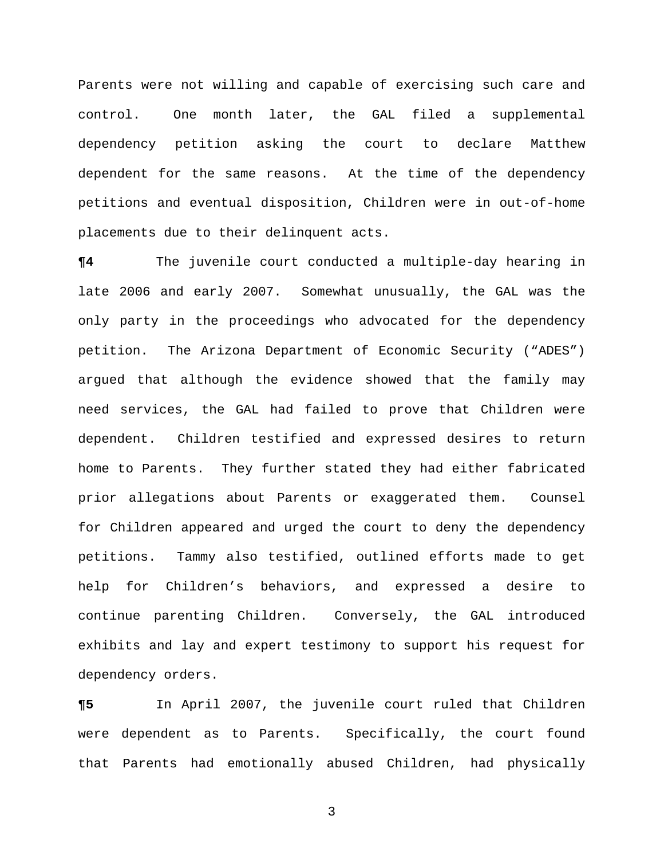Parents were not willing and capable of exercising such care and control. One month later, the GAL filed a supplemental dependency petition asking the court to declare Matthew dependent for the same reasons. At the time of the dependency petitions and eventual disposition, Children were in out-of-home placements due to their delinquent acts.

**¶4** The juvenile court conducted a multiple-day hearing in late 2006 and early 2007. Somewhat unusually, the GAL was the only party in the proceedings who advocated for the dependency petition. The Arizona Department of Economic Security ("ADES") argued that although the evidence showed that the family may need services, the GAL had failed to prove that Children were dependent. Children testified and expressed desires to return home to Parents. They further stated they had either fabricated prior allegations about Parents or exaggerated them. Counsel for Children appeared and urged the court to deny the dependency petitions. Tammy also testified, outlined efforts made to get help for Children's behaviors, and expressed a desire to continue parenting Children. Conversely, the GAL introduced exhibits and lay and expert testimony to support his request for dependency orders.

**¶5** In April 2007, the juvenile court ruled that Children were dependent as to Parents. Specifically, the court found that Parents had emotionally abused Children, had physically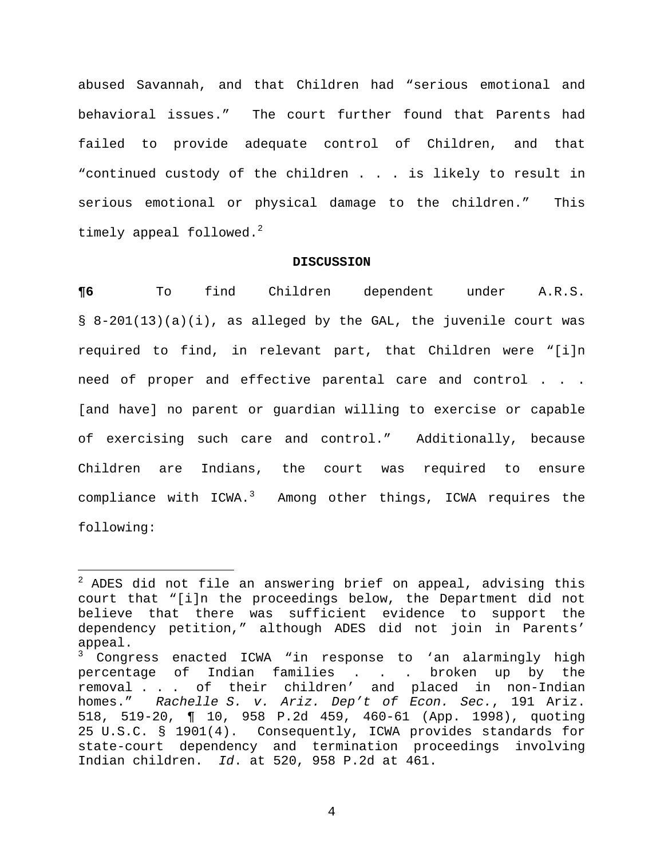abused Savannah, and that Children had "serious emotional and behavioral issues." The court further found that Parents had failed to provide adequate control of Children, and that "continued custody of the children . . . is likely to result in serious emotional or physical damage to the children." This timely appeal followed. $^2$  $^2$ 

### **DISCUSSION**

**¶6** To find Children dependent under A.R.S. § 8-201(13)(a)(i), as alleged by the GAL, the juvenile court was required to find, in relevant part, that Children were "[i]n need of proper and effective parental care and control . . . [and have] no parent or guardian willing to exercise or capable of exercising such care and control." Additionally, because Children are Indians, the court was required to ensure compliance with ICWA.<sup>[3](#page-3-1)</sup> Among other things, ICWA requires the following:

 $\overline{\phantom{0}}$ 

<span id="page-3-0"></span> $2$  ADES did not file an answering brief on appeal, advising this court that "[i]n the proceedings below, the Department did not believe that there was sufficient evidence to support the dependency petition," although ADES did not join in Parents' appeal.

<span id="page-3-1"></span><sup>&</sup>lt;sup>3</sup> Congress enacted ICWA "in response to 'an alarmingly high percentage of Indian families . . . broken up by the removal . . . of their children' and placed in non-Indian homes." *Rachelle S. v. Ariz. Dep't of Econ. Sec.*, 191 Ariz. 518, 519-20, ¶ 10, 958 P.2d 459, 460-61 (App. 1998), quoting 25 U.S.C. § 1901(4). Consequently, ICWA provides standards for state-court dependency and termination proceedings involving Indian children. *Id*. at 520, 958 P.2d at 461.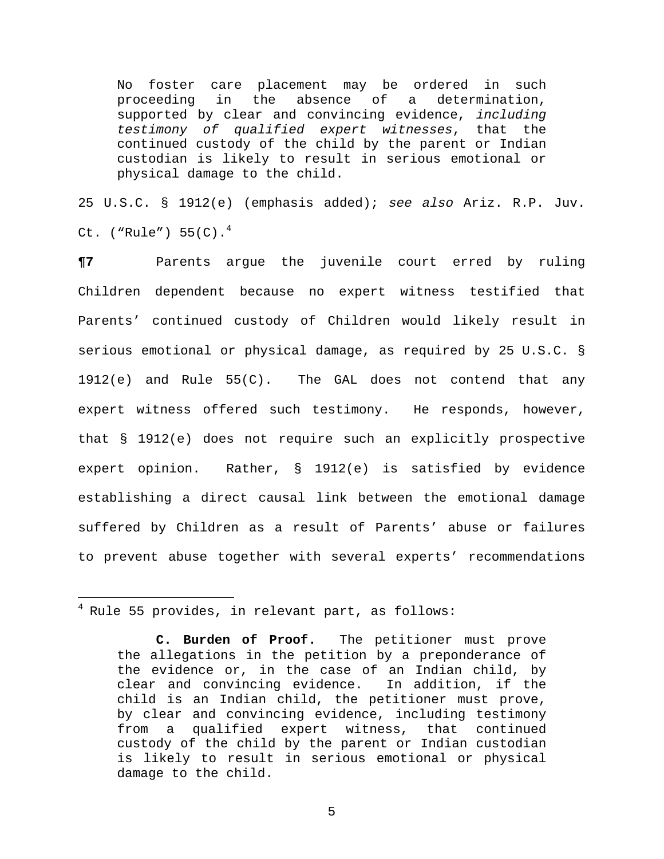No foster care placement may be ordered in such proceeding in the absence of a determination, supported by clear and convincing evidence, *including testimony of qualified expert witnesses*, that the continued custody of the child by the parent or Indian custodian is likely to result in serious emotional or physical damage to the child.

25 U.S.C. § 1912(e) (emphasis added); *see also* Ariz. R.P. Juv. Ct. ("Rule")  $55(C).$ <sup>[4](#page-4-0)</sup>

**¶7** Parents argue the juvenile court erred by ruling Children dependent because no expert witness testified that Parents' continued custody of Children would likely result in serious emotional or physical damage, as required by 25 U.S.C. §  $1912(e)$  and Rule 55(C). The GAL does not contend that any expert witness offered such testimony. He responds, however, that § 1912(e) does not require such an explicitly prospective expert opinion. Rather, § 1912(e) is satisfied by evidence establishing a direct causal link between the emotional damage suffered by Children as a result of Parents' abuse or failures to prevent abuse together with several experts' recommendations

i

<span id="page-4-0"></span> $4$  Rule 55 provides, in relevant part, as follows:

**C. Burden of Proof.** The petitioner must prove the allegations in the petition by a preponderance of the evidence or, in the case of an Indian child, by clear and convincing evidence. In addition, if the child is an Indian child, the petitioner must prove, by clear and convincing evidence, including testimony from a qualified expert witness, that continued custody of the child by the parent or Indian custodian is likely to result in serious emotional or physical damage to the child.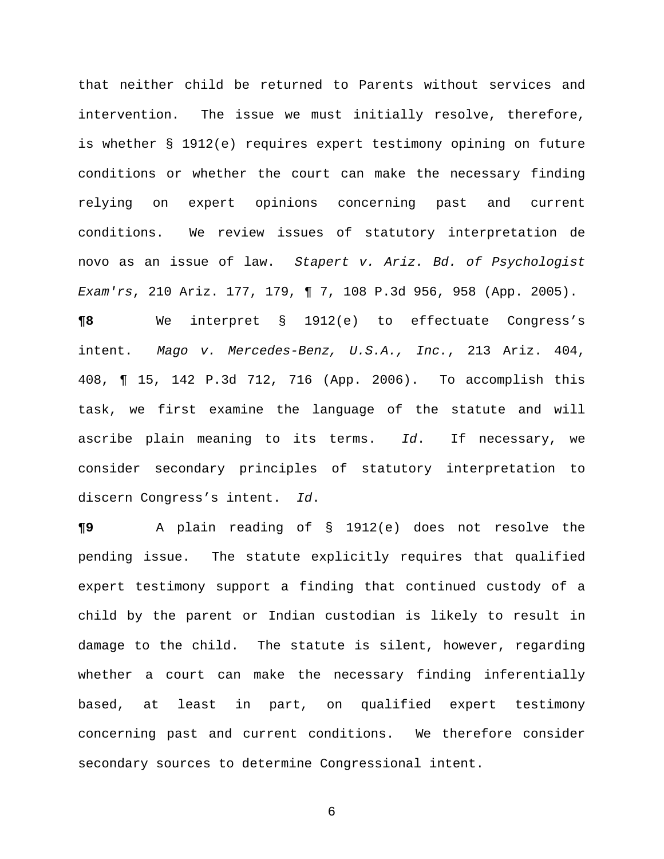that neither child be returned to Parents without services and intervention. The issue we must initially resolve, therefore, is whether § 1912(e) requires expert testimony opining on future conditions or whether the court can make the necessary finding relying on expert opinions concerning past and current conditions. We review issues of statutory interpretation de novo as an issue of law. *Stapert v. Ariz. Bd. of Psychologist Exam'rs*, 210 Ariz. 177, 179, ¶ 7, 108 P.3d 956, 958 (App. 2005). **¶8** We interpret § 1912(e) to effectuate Congress's intent. *Mago v. Mercedes-Benz, U.S.A., Inc.*, 213 Ariz. 404, 408, ¶ 15, 142 P.3d 712, 716 (App. 2006). To accomplish this

task, we first examine the language of the statute and will ascribe plain meaning to its terms. *Id*. If necessary, we consider secondary principles of statutory interpretation to discern Congress's intent. *Id*.

**¶9** A plain reading of § 1912(e) does not resolve the pending issue. The statute explicitly requires that qualified expert testimony support a finding that continued custody of a child by the parent or Indian custodian is likely to result in damage to the child. The statute is silent, however, regarding whether a court can make the necessary finding inferentially based, at least in part, on qualified expert testimony concerning past and current conditions. We therefore consider secondary sources to determine Congressional intent.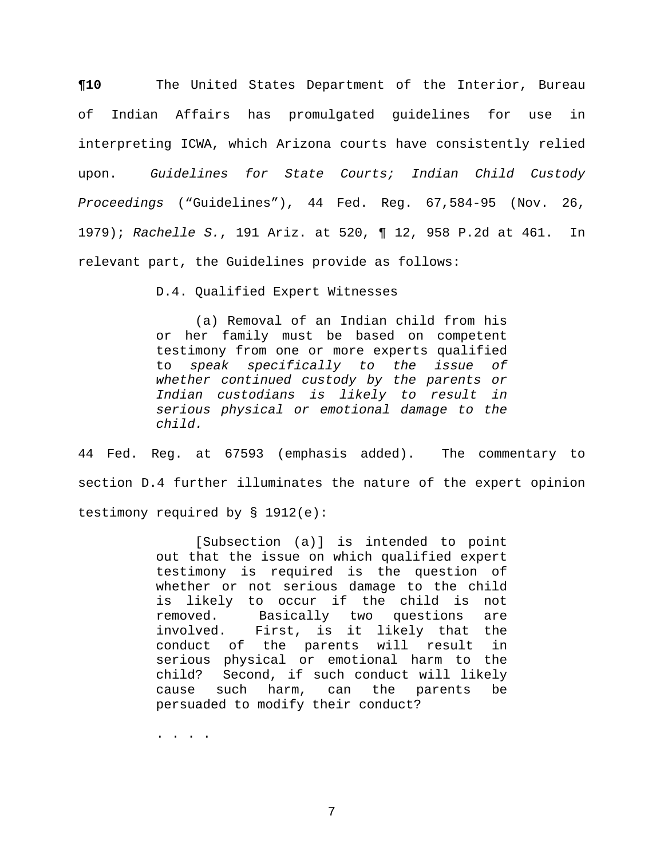**¶10** The United States Department of the Interior, Bureau of Indian Affairs has promulgated guidelines for use in interpreting ICWA, which Arizona courts have consistently relied upon. *Guidelines for State Courts; Indian Child Custody Proceedings* ("Guidelines"), 44 Fed. Reg. 67,584-95 (Nov. 26, 1979); *Rachelle S.*, 191 Ariz. at 520, ¶ 12, 958 P.2d at 461. In relevant part, the Guidelines provide as follows:

D.4. Qualified Expert Witnesses

(a) Removal of an Indian child from his or her family must be based on competent testimony from one or more experts qualified to *speak specifically to the issue of whether continued custody by the parents or Indian custodians is likely to result in serious physical or emotional damage to the child.*

44 Fed. Reg. at 67593 (emphasis added). The commentary to section D.4 further illuminates the nature of the expert opinion testimony required by § 1912(e):

> [Subsection (a)] is intended to point out that the issue on which qualified expert testimony is required is the question of whether or not serious damage to the child is likely to occur if the child is not removed. Basically two questions are involved. First, is it likely that the conduct of the parents will result in serious physical or emotional harm to the child? Second, if such conduct will likely cause such harm, can the parents be persuaded to modify their conduct?

. . . .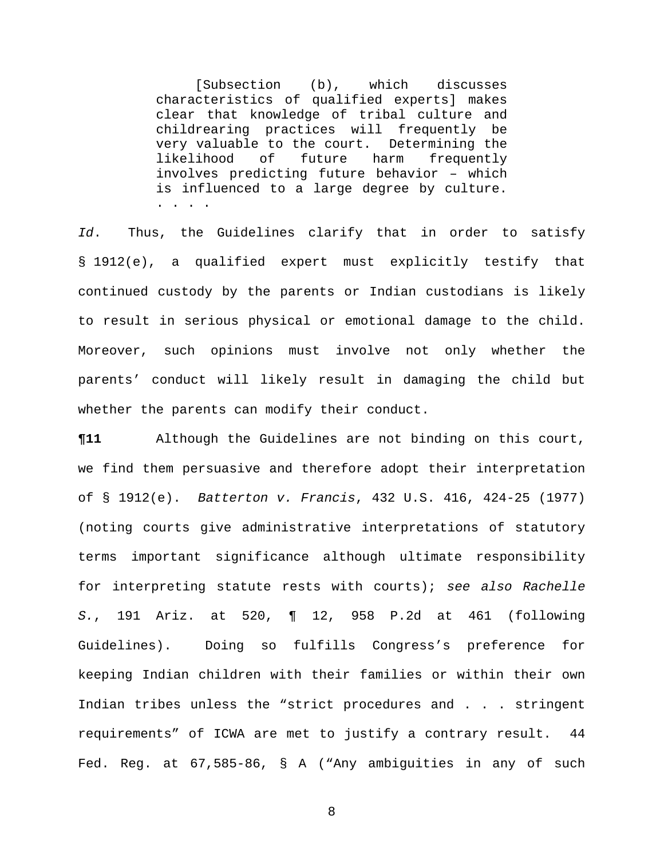[Subsection (b), which discusses characteristics of qualified experts] makes clear that knowledge of tribal culture and childrearing practices will frequently be very valuable to the court. Determining the likelihood of future harm frequently involves predicting future behavior – which is influenced to a large degree by culture. . . . .

*Id*. Thus, the Guidelines clarify that in order to satisfy § 1912(e), a qualified expert must explicitly testify that continued custody by the parents or Indian custodians is likely to result in serious physical or emotional damage to the child. Moreover, such opinions must involve not only whether the parents' conduct will likely result in damaging the child but whether the parents can modify their conduct.

**¶11** Although the Guidelines are not binding on this court, we find them persuasive and therefore adopt their interpretation of § 1912(e). *Batterton v. Francis*, 432 U.S. 416, 424-25 (1977) (noting courts give administrative interpretations of statutory terms important significance although ultimate responsibility for interpreting statute rests with courts); *see also Rachelle S.*, 191 Ariz. at 520, ¶ 12, 958 P.2d at 461 (following Guidelines). Doing so fulfills Congress's preference for keeping Indian children with their families or within their own Indian tribes unless the "strict procedures and . . . stringent requirements" of ICWA are met to justify a contrary result. 44 Fed. Reg. at 67,585-86, § A ("Any ambiguities in any of such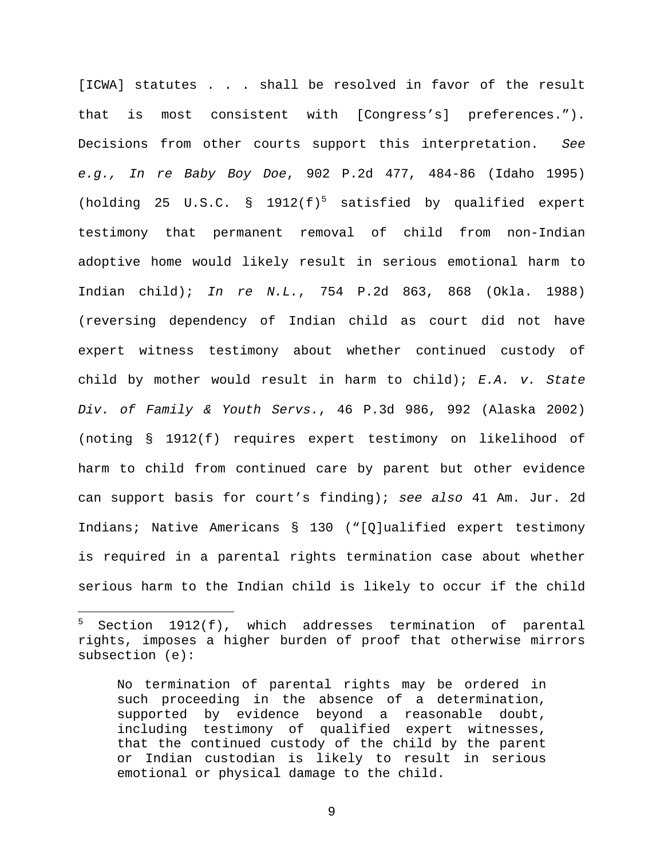[ICWA] statutes . . . shall be resolved in favor of the result that is most consistent with [Congress's] preferences."). Decisions from other courts support this interpretation. *See e.g., In re Baby Boy Doe*, 902 P.2d 477, 484-86 (Idaho 1995) (holding 2[5](#page-8-0) U.S.C. § 1912 $(f)^5$  satisfied by qualified expert testimony that permanent removal of child from non-Indian adoptive home would likely result in serious emotional harm to Indian child); *In re N.L.*, 754 P.2d 863, 868 (Okla. 1988) (reversing dependency of Indian child as court did not have expert witness testimony about whether continued custody of child by mother would result in harm to child); *E.A. v. State Div. of Family & Youth Servs.*, 46 P.3d 986, 992 (Alaska 2002) (noting § 1912(f) requires expert testimony on likelihood of harm to child from continued care by parent but other evidence can support basis for court's finding); *see also* 41 Am. Jur. 2d Indians; Native Americans § 130 ("[Q]ualified expert testimony is required in a parental rights termination case about whether serious harm to the Indian child is likely to occur if the child

i

<span id="page-8-0"></span><sup>5</sup> Section 1912(f), which addresses termination of parental rights, imposes a higher burden of proof that otherwise mirrors subsection (e):

No termination of parental rights may be ordered in such proceeding in the absence of a determination, supported by evidence beyond a reasonable doubt, including testimony of qualified expert witnesses, that the continued custody of the child by the parent or Indian custodian is likely to result in serious emotional or physical damage to the child.